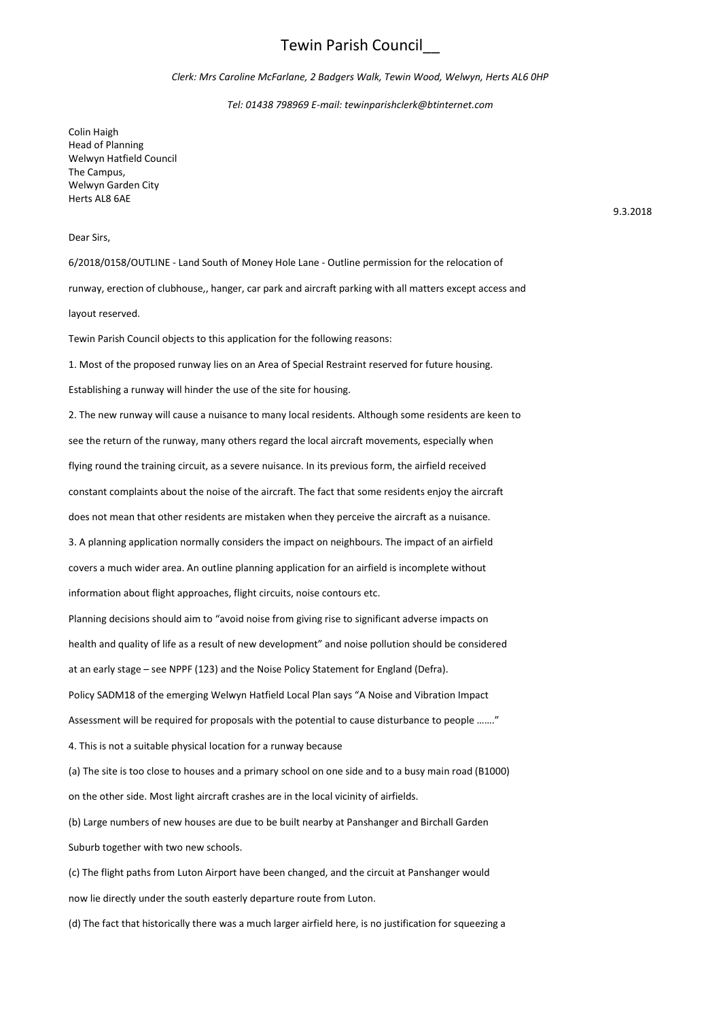## Tewin Parish Council\_\_

*Clerk: Mrs Caroline McFarlane, 2 Badgers Walk, Tewin Wood, Welwyn, Herts AL6 0HP*

*Tel: 01438 798969 E-mail: tewinparishclerk@btinternet.com*

Colin Haigh Head of Planning Welwyn Hatfield Council The Campus, Welwyn Garden City Herts AL8 6AE

Dear Sirs,

6/2018/0158/OUTLINE - Land South of Money Hole Lane - Outline permission for the relocation of runway, erection of clubhouse,, hanger, car park and aircraft parking with all matters except access and layout reserved.

Tewin Parish Council objects to this application for the following reasons:

1. Most of the proposed runway lies on an Area of Special Restraint reserved for future housing.

Establishing a runway will hinder the use of the site for housing.

2. The new runway will cause a nuisance to many local residents. Although some residents are keen to see the return of the runway, many others regard the local aircraft movements, especially when flying round the training circuit, as a severe nuisance. In its previous form, the airfield received constant complaints about the noise of the aircraft. The fact that some residents enjoy the aircraft does not mean that other residents are mistaken when they perceive the aircraft as a nuisance. 3. A planning application normally considers the impact on neighbours. The impact of an airfield covers a much wider area. An outline planning application for an airfield is incomplete without information about flight approaches, flight circuits, noise contours etc.

Planning decisions should aim to "avoid noise from giving rise to significant adverse impacts on health and quality of life as a result of new development" and noise pollution should be considered at an early stage – see NPPF (123) and the Noise Policy Statement for England (Defra).

Policy SADM18 of the emerging Welwyn Hatfield Local Plan says "A Noise and Vibration Impact

Assessment will be required for proposals with the potential to cause disturbance to people ……."

4. This is not a suitable physical location for a runway because

(a) The site is too close to houses and a primary school on one side and to a busy main road (B1000) on the other side. Most light aircraft crashes are in the local vicinity of airfields.

(b) Large numbers of new houses are due to be built nearby at Panshanger and Birchall Garden Suburb together with two new schools.

(c) The flight paths from Luton Airport have been changed, and the circuit at Panshanger would now lie directly under the south easterly departure route from Luton.

(d) The fact that historically there was a much larger airfield here, is no justification for squeezing a

9.3.2018